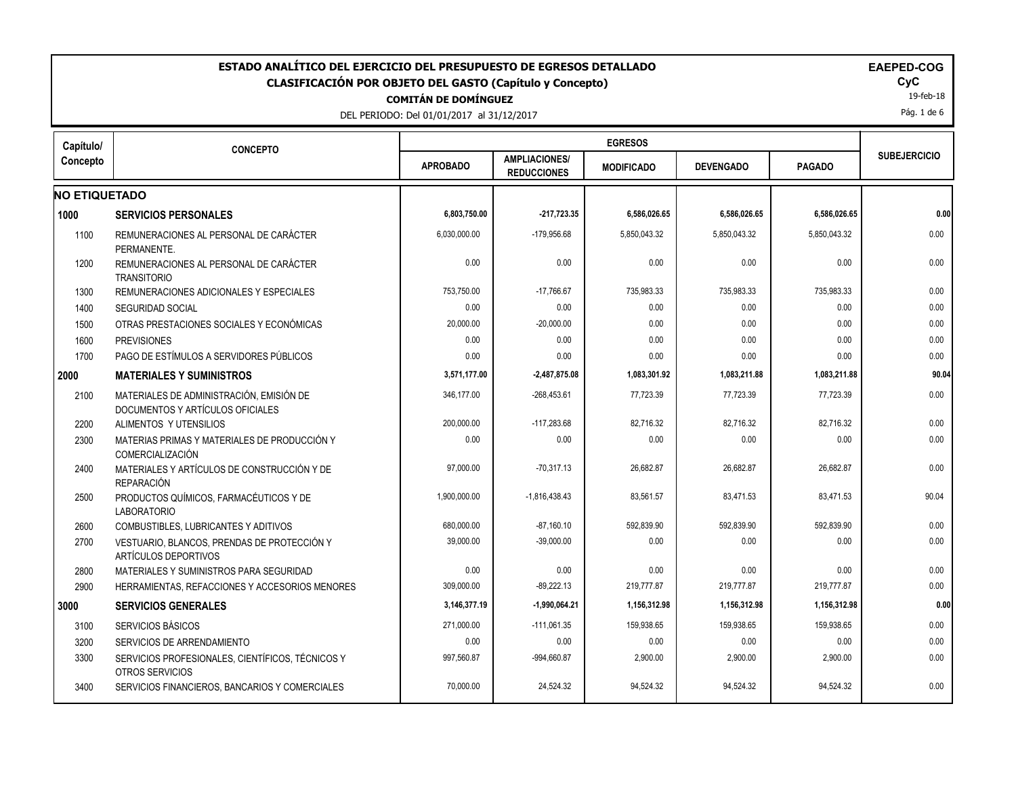| ESTADO ANALÍTICO DEL EJERCICIO DEL PRESUPUESTO DE EGRESOS DETALLADO<br><b>CLASIFICACIÓN POR OBJETO DEL GASTO (Capítulo y Concepto)</b><br><b>COMITÁN DE DOMÍNGUEZ</b><br>DEL PERIODO: Del 01/01/2017 al 31/12/2017 |                                                                              |                 |                                            |                   |                  |               |                     |  |  |
|--------------------------------------------------------------------------------------------------------------------------------------------------------------------------------------------------------------------|------------------------------------------------------------------------------|-----------------|--------------------------------------------|-------------------|------------------|---------------|---------------------|--|--|
| Capítulo/                                                                                                                                                                                                          | <b>CONCEPTO</b>                                                              |                 | <b>EGRESOS</b>                             |                   |                  |               |                     |  |  |
| Concepto                                                                                                                                                                                                           |                                                                              | <b>APROBADO</b> | <b>AMPLIACIONES/</b><br><b>REDUCCIONES</b> | <b>MODIFICADO</b> | <b>DEVENGADO</b> | <b>PAGADO</b> | <b>SUBEJERCICIO</b> |  |  |
| <b>NO ETIQUETADO</b>                                                                                                                                                                                               |                                                                              |                 |                                            |                   |                  |               |                     |  |  |
| 1000                                                                                                                                                                                                               | <b>SERVICIOS PERSONALES</b>                                                  | 6,803,750.00    | $-217,723.35$                              | 6,586,026.65      | 6,586,026.65     | 6,586,026.65  | 0.00                |  |  |
| 1100                                                                                                                                                                                                               | REMUNERACIONES AL PERSONAL DE CARÁCTER<br>PERMANENTE.                        | 6,030,000.00    | -179,956.68                                | 5,850,043.32      | 5,850,043.32     | 5,850,043.32  | 0.00                |  |  |
| 1200                                                                                                                                                                                                               | REMUNERACIONES AL PERSONAL DE CARÁCTER<br><b>TRANSITORIO</b>                 | 0.00            | 0.00                                       | 0.00              | 0.00             | 0.00          | 0.00                |  |  |
| 1300                                                                                                                                                                                                               | REMUNERACIONES ADICIONALES Y ESPECIALES                                      | 753,750.00      | $-17,766.67$                               | 735,983.33        | 735,983.33       | 735,983.33    | 0.00                |  |  |
| 1400                                                                                                                                                                                                               | <b>SEGURIDAD SOCIAL</b>                                                      | 0.00            | 0.00                                       | 0.00              | 0.00             | 0.00          | 0.00                |  |  |
| 1500                                                                                                                                                                                                               | OTRAS PRESTACIONES SOCIALES Y ECONÓMICAS                                     | 20,000.00       | $-20,000.00$                               | 0.00              | 0.00             | 0.00          | 0.00                |  |  |
| 1600                                                                                                                                                                                                               | <b>PREVISIONES</b>                                                           | 0.00            | 0.00                                       | 0.00              | 0.00             | 0.00          | 0.00                |  |  |
| 1700                                                                                                                                                                                                               | PAGO DE ESTÍMULOS A SERVIDORES PÚBLICOS                                      | 0.00            | 0.00                                       | 0.00              | 0.00             | 0.00          | 0.00                |  |  |
| 2000                                                                                                                                                                                                               | <b>MATERIALES Y SUMINISTROS</b>                                              | 3,571,177.00    | $-2,487,875.08$                            | 1,083,301.92      | 1,083,211.88     | 1,083,211.88  | 90.04               |  |  |
| 2100                                                                                                                                                                                                               | MATERIALES DE ADMINISTRACIÓN, EMISIÓN DE<br>DOCUMENTOS Y ARTÍCULOS OFICIALES | 346,177.00      | $-268,453.61$                              | 77,723.39         | 77,723.39        | 77,723.39     | 0.00                |  |  |
| 2200                                                                                                                                                                                                               | ALIMENTOS Y UTENSILIOS                                                       | 200,000.00      | $-117,283.68$                              | 82,716.32         | 82,716.32        | 82,716.32     | 0.00                |  |  |
| 2300                                                                                                                                                                                                               | MATERIAS PRIMAS Y MATERIALES DE PRODUCCIÓN Y<br>COMERCIALIZACIÓN             | 0.00            | 0.00                                       | 0.00              | 0.00             | 0.00          | 0.00                |  |  |
| 2400                                                                                                                                                                                                               | MATERIALES Y ARTÍCULOS DE CONSTRUCCIÓN Y DE<br><b>REPARACIÓN</b>             | 97,000.00       | $-70,317.13$                               | 26,682.87         | 26,682.87        | 26,682.87     | 0.00                |  |  |
| 2500                                                                                                                                                                                                               | PRODUCTOS QUÍMICOS, FARMACÉUTICOS Y DE<br><b>LABORATORIO</b>                 | 1,900,000.00    | $-1,816,438.43$                            | 83,561.57         | 83,471.53        | 83,471.53     | 90.04               |  |  |
| 2600                                                                                                                                                                                                               | COMBUSTIBLES, LUBRICANTES Y ADITIVOS                                         | 680,000.00      | $-87,160.10$                               | 592,839.90        | 592,839.90       | 592,839.90    | 0.00                |  |  |
| 2700                                                                                                                                                                                                               | VESTUARIO, BLANCOS, PRENDAS DE PROTECCIÓN Y<br>ARTÍCULOS DEPORTIVOS          | 39,000.00       | $-39,000.00$                               | 0.00              | 0.00             | 0.00          | 0.00                |  |  |
| 2800                                                                                                                                                                                                               | MATERIALES Y SUMINISTROS PARA SEGURIDAD                                      | 0.00            | 0.00                                       | 0.00              | 0.00             | 0.00          | 0.00                |  |  |
| 2900                                                                                                                                                                                                               | HERRAMIENTAS, REFACCIONES Y ACCESORIOS MENORES                               | 309,000.00      | $-89,222.13$                               | 219,777.87        | 219,777.87       | 219,777.87    | 0.00                |  |  |
| 3000                                                                                                                                                                                                               | <b>SERVICIOS GENERALES</b>                                                   | 3,146,377.19    | $-1,990,064.21$                            | 1,156,312.98      | 1,156,312.98     | 1,156,312.98  | 0.00                |  |  |
| 3100                                                                                                                                                                                                               | SERVICIOS BÁSICOS                                                            | 271,000.00      | $-111,061.35$                              | 159.938.65        | 159.938.65       | 159,938.65    | 0.00                |  |  |
| 3200                                                                                                                                                                                                               | SERVICIOS DE ARRENDAMIENTO                                                   | 0.00            | 0.00                                       | 0.00              | 0.00             | 0.00          | 0.00                |  |  |
| 3300                                                                                                                                                                                                               | SERVICIOS PROFESIONALES, CIENTÍFICOS, TÉCNICOS Y<br>OTROS SERVICIOS          | 997,560.87      | -994,660.87                                | 2,900.00          | 2,900.00         | 2,900.00      | 0.00                |  |  |
| 3400                                                                                                                                                                                                               | SERVICIOS FINANCIEROS, BANCARIOS Y COMERCIALES                               | 70,000.00       | 24,524.32                                  | 94.524.32         | 94,524.32        | 94,524.32     | 0.00                |  |  |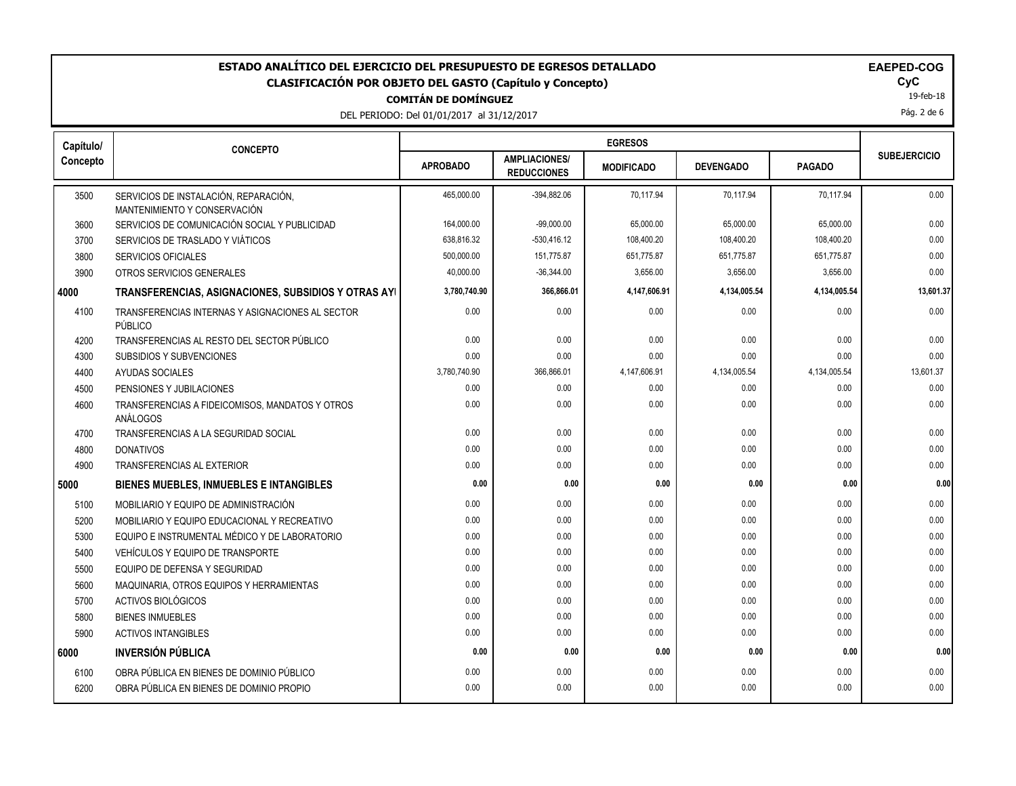DEL PERIODO: Del 01/01/2017 al 31/12/2017

| <b>EAEPED-C(</b> |
|------------------|
|                  |

19-feb-18

Pág. 2 de 6

| Capítulo/ | <b>CONCEPTO</b>                                                       |                 |                                            |                   |                  |               |                     |
|-----------|-----------------------------------------------------------------------|-----------------|--------------------------------------------|-------------------|------------------|---------------|---------------------|
| Concepto  |                                                                       | <b>APROBADO</b> | <b>AMPLIACIONES/</b><br><b>REDUCCIONES</b> | <b>MODIFICADO</b> | <b>DEVENGADO</b> | <b>PAGADO</b> | <b>SUBEJERCICIO</b> |
| 3500      | SERVICIOS DE INSTALACIÓN, REPARACIÓN,<br>MANTENIMIENTO Y CONSERVACIÓN | 465,000.00      | -394,882.06                                | 70,117.94         | 70,117.94        | 70,117.94     | 0.00                |
| 3600      | SERVICIOS DE COMUNICACIÓN SOCIAL Y PUBLICIDAD                         | 164,000.00      | $-99,000.00$                               | 65,000.00         | 65,000.00        | 65,000.00     | 0.00                |
| 3700      | SERVICIOS DE TRASLADO Y VIÁTICOS                                      | 638,816.32      | $-530,416.12$                              | 108,400.20        | 108,400.20       | 108,400.20    | 0.00                |
| 3800      | <b>SERVICIOS OFICIALES</b>                                            | 500,000.00      | 151,775.87                                 | 651,775.87        | 651,775.87       | 651,775.87    | 0.00                |
| 3900      | OTROS SERVICIOS GENERALES                                             | 40,000.00       | $-36,344.00$                               | 3,656.00          | 3,656.00         | 3,656.00      | 0.00                |
| 4000      | <b>TRANSFERENCIAS, ASIGNACIONES, SUBSIDIOS Y OTRAS AYI</b>            | 3,780,740.90    | 366,866.01                                 | 4,147,606.91      | 4,134,005.54     | 4,134,005.54  | 13,601.37           |
| 4100      | TRANSFERENCIAS INTERNAS Y ASIGNACIONES AL SECTOR<br>PÚBLICO           | 0.00            | 0.00                                       | 0.00              | 0.00             | 0.00          | 0.00                |
| 4200      | TRANSFERENCIAS AL RESTO DEL SECTOR PÚBLICO                            | 0.00            | 0.00                                       | 0.00              | 0.00             | 0.00          | 0.00                |
| 4300      | <b>SUBSIDIOS Y SUBVENCIONES</b>                                       | 0.00            | 0.00                                       | 0.00              | 0.00             | 0.00          | 0.00                |
| 4400      | AYUDAS SOCIALES                                                       | 3,780,740.90    | 366,866.01                                 | 4,147,606.91      | 4,134,005.54     | 4,134,005.54  | 13,601.37           |
| 4500      | PENSIONES Y JUBILACIONES                                              | 0.00            | 0.00                                       | 0.00              | 0.00             | 0.00          | 0.00                |
| 4600      | TRANSFERENCIAS A FIDEICOMISOS, MANDATOS Y OTROS<br>ANÁLOGOS           | 0.00            | 0.00                                       | 0.00              | 0.00             | 0.00          | 0.00                |
| 4700      | TRANSFERENCIAS A LA SEGURIDAD SOCIAL                                  | 0.00            | 0.00                                       | 0.00              | 0.00             | 0.00          | 0.00                |
| 4800      | <b>DONATIVOS</b>                                                      | 0.00            | 0.00                                       | 0.00              | 0.00             | 0.00          | 0.00                |
| 4900      | <b>TRANSFERENCIAS AL EXTERIOR</b>                                     | 0.00            | 0.00                                       | 0.00              | 0.00             | 0.00          | 0.00                |
| 5000      | <b>BIENES MUEBLES, INMUEBLES E INTANGIBLES</b>                        | 0.00            | 0.00                                       | 0.00              | 0.00             | 0.00          | 0.00                |
| 5100      | MOBILIARIO Y EQUIPO DE ADMINISTRACIÓN                                 | 0.00            | 0.00                                       | 0.00              | 0.00             | 0.00          | 0.00                |
| 5200      | MOBILIARIO Y EQUIPO EDUCACIONAL Y RECREATIVO                          | 0.00            | 0.00                                       | 0.00              | 0.00             | 0.00          | 0.00                |
| 5300      | EQUIPO E INSTRUMENTAL MÉDICO Y DE LABORATORIO                         | 0.00            | 0.00                                       | 0.00              | 0.00             | 0.00          | 0.00                |
| 5400      | VEHÍCULOS Y EQUIPO DE TRANSPORTE                                      | 0.00            | 0.00                                       | 0.00              | 0.00             | 0.00          | 0.00                |
| 5500      | EQUIPO DE DEFENSA Y SEGURIDAD                                         | 0.00            | 0.00                                       | 0.00              | 0.00             | 0.00          | 0.00                |
| 5600      | MAQUINARIA, OTROS EQUIPOS Y HERRAMIENTAS                              | 0.00            | 0.00                                       | 0.00              | 0.00             | 0.00          | 0.00                |
| 5700      | ACTIVOS BIOLÓGICOS                                                    | 0.00            | 0.00                                       | 0.00              | 0.00             | 0.00          | 0.00                |
| 5800      | <b>BIENES INMUEBLES</b>                                               | 0.00            | 0.00                                       | 0.00              | 0.00             | 0.00          | 0.00                |
| 5900      | <b>ACTIVOS INTANGIBLES</b>                                            | 0.00            | 0.00                                       | 0.00              | 0.00             | 0.00          | 0.00                |
| 6000      | <b>INVERSIÓN PÚBLICA</b>                                              | 0.00            | 0.00                                       | 0.00              | 0.00             | 0.00          | 0.00                |
| 6100      | OBRA PÚBLICA EN BIENES DE DOMINIO PÚBLICO                             | 0.00            | 0.00                                       | 0.00              | 0.00             | 0.00          | 0.00                |
| 6200      | OBRA PÚBLICA EN BIENES DE DOMINIO PROPIO                              | 0.00            | 0.00                                       | 0.00              | 0.00             | 0.00          | 0.00                |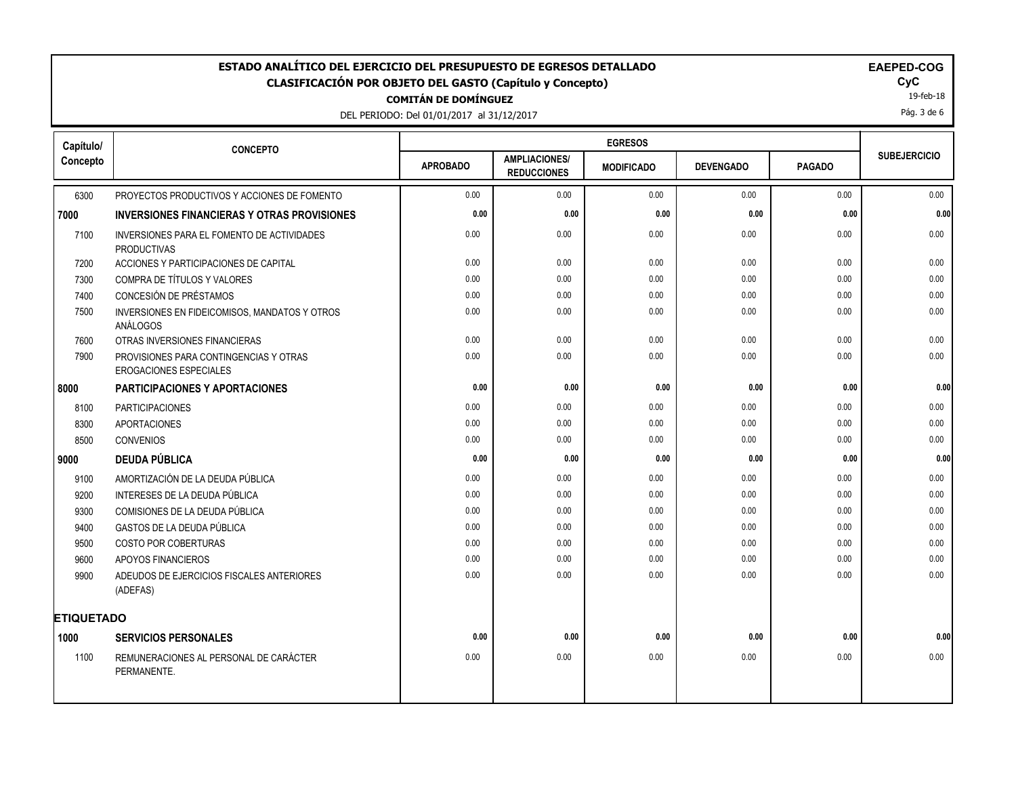DEL PERIODO: Del 01/01/2017 al 31/12/2017

19-feb-18

Pág. 3 de 6

| Capítulo/         | <b>CONCEPTO</b>                                                         |                 |                                            | <b>EGRESOS</b>    |                  |               |                     |
|-------------------|-------------------------------------------------------------------------|-----------------|--------------------------------------------|-------------------|------------------|---------------|---------------------|
| Concepto          |                                                                         | <b>APROBADO</b> | <b>AMPLIACIONES/</b><br><b>REDUCCIONES</b> | <b>MODIFICADO</b> | <b>DEVENGADO</b> | <b>PAGADO</b> | <b>SUBEJERCICIO</b> |
| 6300              | PROYECTOS PRODUCTIVOS Y ACCIONES DE FOMENTO                             | 0.00            | 0.00                                       | 0.00              | 0.00             | 0.00          | 0.00                |
| 7000              | <b>INVERSIONES FINANCIERAS Y OTRAS PROVISIONES</b>                      | 0.00            | 0.00                                       | 0.00              | 0.00             | 0.00          | 0.00                |
| 7100              | INVERSIONES PARA EL FOMENTO DE ACTIVIDADES<br><b>PRODUCTIVAS</b>        | 0.00            | 0.00                                       | 0.00              | 0.00             | 0.00          | 0.00                |
| 7200              | ACCIONES Y PARTICIPACIONES DE CAPITAL                                   | 0.00            | 0.00                                       | 0.00              | 0.00             | 0.00          | 0.00                |
| 7300              | COMPRA DE TÍTULOS Y VALORES                                             | 0.00            | 0.00                                       | 0.00              | 0.00             | 0.00          | 0.00                |
| 7400              | CONCESIÓN DE PRÉSTAMOS                                                  | 0.00            | 0.00                                       | 0.00              | 0.00             | 0.00          | 0.00                |
| 7500              | INVERSIONES EN FIDEICOMISOS, MANDATOS Y OTROS<br>ANÁLOGOS               | 0.00            | 0.00                                       | 0.00              | 0.00             | 0.00          | 0.00                |
| 7600              | OTRAS INVERSIONES FINANCIERAS                                           | 0.00            | 0.00                                       | 0.00              | 0.00             | 0.00          | 0.00                |
| 7900              | PROVISIONES PARA CONTINGENCIAS Y OTRAS<br><b>EROGACIONES ESPECIALES</b> | 0.00            | 0.00                                       | 0.00              | 0.00             | 0.00          | 0.00                |
| 8000              | <b>PARTICIPACIONES Y APORTACIONES</b>                                   | 0.00            | 0.00                                       | 0.00              | 0.00             | 0.00          | 0.00                |
| 8100              | <b>PARTICIPACIONES</b>                                                  | 0.00            | 0.00                                       | 0.00              | 0.00             | 0.00          | 0.00                |
| 8300              | <b>APORTACIONES</b>                                                     | 0.00            | 0.00                                       | 0.00              | 0.00             | 0.00          | 0.00                |
| 8500              | CONVENIOS                                                               | 0.00            | 0.00                                       | 0.00              | 0.00             | 0.00          | 0.00                |
| 9000              | <b>DEUDA PÚBLICA</b>                                                    | 0.00            | 0.00                                       | 0.00              | 0.00             | 0.00          | 0.00                |
| 9100              | AMORTIZACIÓN DE LA DEUDA PÚBLICA                                        | 0.00            | 0.00                                       | 0.00              | 0.00             | 0.00          | 0.00                |
| 9200              | INTERESES DE LA DEUDA PÚBLICA                                           | 0.00            | 0.00                                       | 0.00              | 0.00             | 0.00          | 0.00                |
| 9300              | COMISIONES DE LA DEUDA PÚBLICA                                          | 0.00            | 0.00                                       | 0.00              | 0.00             | 0.00          | 0.00                |
| 9400              | GASTOS DE LA DEUDA PÚBLICA                                              | 0.00            | 0.00                                       | 0.00              | 0.00             | 0.00          | 0.00                |
| 9500              | <b>COSTO POR COBERTURAS</b>                                             | 0.00            | 0.00                                       | 0.00              | 0.00             | 0.00          | 0.00                |
| 9600              | APOYOS FINANCIEROS                                                      | 0.00            | 0.00                                       | 0.00              | 0.00             | 0.00          | 0.00                |
| 9900              | ADEUDOS DE EJERCICIOS FISCALES ANTERIORES<br>(ADEFAS)                   | 0.00            | 0.00                                       | 0.00              | 0.00             | 0.00          | 0.00                |
| <b>ETIQUETADO</b> |                                                                         |                 |                                            |                   |                  |               |                     |
| 1000              | <b>SERVICIOS PERSONALES</b>                                             | 0.00            | 0.00                                       | 0.00              | 0.00             | 0.00          | 0.00                |
| 1100              | REMUNERACIONES AL PERSONAL DE CARÁCTER<br>PERMANENTE.                   | 0.00            | 0.00                                       | 0.00              | 0.00             | 0.00          | 0.00                |
|                   |                                                                         |                 |                                            |                   |                  |               |                     |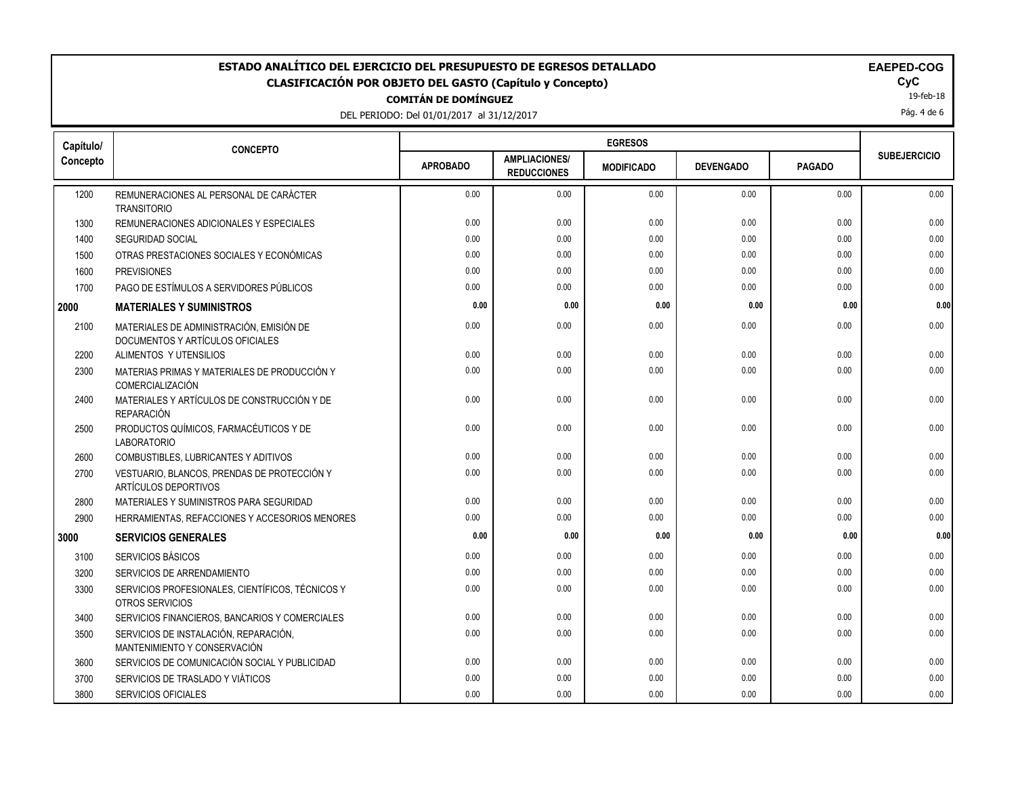DEL PERIODO: Del 01/01/2017 al 31/12/2017

|  | EAEI |
|--|------|
|  |      |

19-feb-18

Pág. 4 de 6

| Capítulo/ | <b>CONCEPTO</b>                                                              |                 |                                            |                   |                  |               |                     |  |
|-----------|------------------------------------------------------------------------------|-----------------|--------------------------------------------|-------------------|------------------|---------------|---------------------|--|
| Concepto  |                                                                              | <b>APROBADO</b> | <b>AMPLIACIONES/</b><br><b>REDUCCIONES</b> | <b>MODIFICADO</b> | <b>DEVENGADO</b> | <b>PAGADO</b> | <b>SUBEJERCICIO</b> |  |
| 1200      | REMUNERACIONES AL PERSONAL DE CARÁCTER                                       | 0.00            | 0.00                                       | 0.00              | 0.00             | 0.00          | 0.00                |  |
| 1300      | <b>TRANSITORIO</b><br>REMUNERACIONES ADICIONALES Y ESPECIALES                | 0.00            | 0.00                                       | 0.00              | 0.00             | 0.00          | 0.00                |  |
| 1400      | <b>SEGURIDAD SOCIAL</b>                                                      | 0.00            | 0.00                                       | 0.00              | 0.00             | 0.00          | 0.00                |  |
| 1500      | OTRAS PRESTACIONES SOCIALES Y ECONÓMICAS                                     | 0.00            | 0.00                                       | 0.00              | 0.00             | 0.00          | 0.00                |  |
| 1600      | <b>PREVISIONES</b>                                                           | 0.00            | 0.00                                       | 0.00              | 0.00             | 0.00          | 0.00                |  |
| 1700      | PAGO DE ESTÍMULOS A SERVIDORES PÚBLICOS                                      | 0.00            | 0.00                                       | 0.00              | 0.00             | 0.00          | 0.00                |  |
| 2000      | <b>MATERIALES Y SUMINISTROS</b>                                              | 0.00            | 0.00                                       | 0.00              | 0.00             | 0.00          | 0.00                |  |
| 2100      | MATERIALES DE ADMINISTRACIÓN, EMISIÓN DE<br>DOCUMENTOS Y ARTÍCULOS OFICIALES | 0.00            | 0.00                                       | 0.00              | 0.00             | 0.00          | 0.00                |  |
| 2200      | ALIMENTOS Y UTENSILIOS                                                       | 0.00            | 0.00                                       | 0.00              | 0.00             | 0.00          | 0.00                |  |
| 2300      | MATERIAS PRIMAS Y MATERIALES DE PRODUCCIÓN Y<br>COMERCIALIZACIÓN             | 0.00            | 0.00                                       | 0.00              | 0.00             | 0.00          | 0.00                |  |
| 2400      | MATERIALES Y ARTÍCULOS DE CONSTRUCCIÓN Y DE<br><b>REPARACIÓN</b>             | 0.00            | 0.00                                       | 0.00              | 0.00             | 0.00          | 0.00                |  |
| 2500      | PRODUCTOS QUÍMICOS, FARMACÉUTICOS Y DE<br><b>LABORATORIO</b>                 | 0.00            | 0.00                                       | 0.00              | 0.00             | 0.00          | 0.00                |  |
| 2600      | COMBUSTIBLES, LUBRICANTES Y ADITIVOS                                         | 0.00            | 0.00                                       | 0.00              | 0.00             | 0.00          | 0.00                |  |
| 2700      | VESTUARIO, BLANCOS, PRENDAS DE PROTECCIÓN Y<br>ARTÍCULOS DEPORTIVOS          | 0.00            | 0.00                                       | 0.00              | 0.00             | 0.00          | 0.00                |  |
| 2800      | MATERIALES Y SUMINISTROS PARA SEGURIDAD                                      | 0.00            | 0.00                                       | 0.00              | 0.00             | 0.00          | 0.00                |  |
| 2900      | HERRAMIENTAS, REFACCIONES Y ACCESORIOS MENORES                               | 0.00            | 0.00                                       | 0.00              | 0.00             | 0.00          | 0.00                |  |
| 3000      | <b>SERVICIOS GENERALES</b>                                                   | 0.00            | 0.00                                       | 0.00              | 0.00             | 0.00          | 0.00                |  |
| 3100      | SERVICIOS BÁSICOS                                                            | 0.00            | 0.00                                       | 0.00              | 0.00             | 0.00          | 0.00                |  |
| 3200      | SERVICIOS DE ARRENDAMIENTO                                                   | 0.00            | 0.00                                       | 0.00              | 0.00             | 0.00          | 0.00                |  |
| 3300      | SERVICIOS PROFESIONALES, CIENTÍFICOS, TÉCNICOS Y<br><b>OTROS SERVICIOS</b>   | 0.00            | 0.00                                       | 0.00              | 0.00             | 0.00          | 0.00                |  |
| 3400      | SERVICIOS FINANCIEROS, BANCARIOS Y COMERCIALES                               | 0.00            | 0.00                                       | 0.00              | 0.00             | 0.00          | 0.00                |  |
| 3500      | SERVICIOS DE INSTALACIÓN, REPARACIÓN,<br>MANTENIMIENTO Y CONSERVACIÓN        | 0.00            | 0.00                                       | 0.00              | 0.00             | 0.00          | 0.00                |  |
| 3600      | SERVICIOS DE COMUNICACIÓN SOCIAL Y PUBLICIDAD                                | 0.00            | 0.00                                       | 0.00              | 0.00             | 0.00          | 0.00                |  |
| 3700      | SERVICIOS DE TRASLADO Y VIÁTICOS                                             | 0.00            | 0.00                                       | 0.00              | 0.00             | 0.00          | 0.00                |  |
| 3800      | <b>SERVICIOS OFICIALES</b>                                                   | 0.00            | 0.00                                       | 0.00              | 0.00             | 0.00          | 0.00                |  |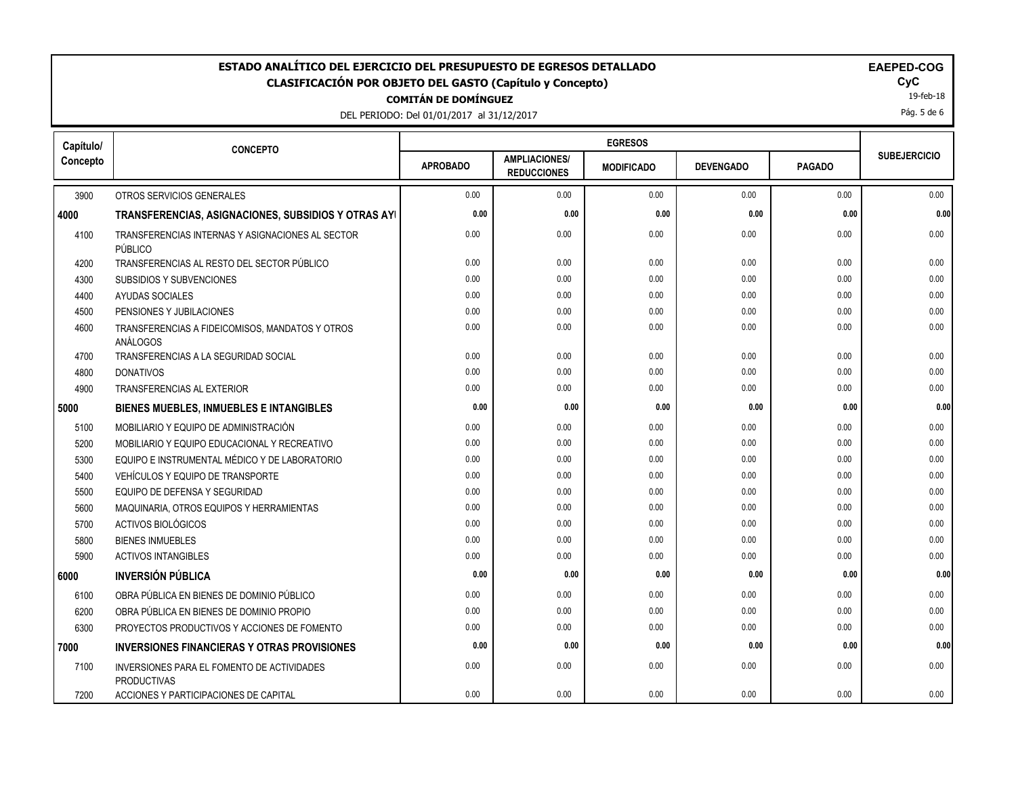DEL PERIODO: Del 01/01/2017 al 31/12/2017

| Capítulo/ | <b>CONCEPTO</b>                                                  |                 |                                            |                   |                  |               |                     |
|-----------|------------------------------------------------------------------|-----------------|--------------------------------------------|-------------------|------------------|---------------|---------------------|
| Concepto  |                                                                  | <b>APROBADO</b> | <b>AMPLIACIONES/</b><br><b>REDUCCIONES</b> | <b>MODIFICADO</b> | <b>DEVENGADO</b> | <b>PAGADO</b> | <b>SUBEJERCICIO</b> |
| 3900      | OTROS SERVICIOS GENERALES                                        | 0.00            | 0.00                                       | 0.00              | 0.00             | 0.00          | 0.00                |
| 4000      | TRANSFERENCIAS, ASIGNACIONES, SUBSIDIOS Y OTRAS AYI              | 0.00            | 0.00                                       | 0.00              | 0.00             | 0.00          | 0.00                |
| 4100      | TRANSFERENCIAS INTERNAS Y ASIGNACIONES AL SECTOR<br>PÚBLICO      | 0.00            | 0.00                                       | 0.00              | 0.00             | 0.00          | 0.00                |
| 4200      | TRANSFERENCIAS AL RESTO DEL SECTOR PÚBLICO                       | 0.00            | 0.00                                       | 0.00              | 0.00             | 0.00          | 0.00                |
| 4300      | SUBSIDIOS Y SUBVENCIONES                                         | 0.00            | 0.00                                       | 0.00              | 0.00             | 0.00          | 0.00                |
| 4400      | AYUDAS SOCIALES                                                  | 0.00            | 0.00                                       | 0.00              | 0.00             | 0.00          | 0.00                |
| 4500      | PENSIONES Y JUBILACIONES                                         | 0.00            | 0.00                                       | 0.00              | 0.00             | 0.00          | 0.00                |
| 4600      | TRANSFERENCIAS A FIDEICOMISOS, MANDATOS Y OTROS<br>ANÁLOGOS      | 0.00            | 0.00                                       | 0.00              | 0.00             | 0.00          | 0.00                |
| 4700      | TRANSFERENCIAS A LA SEGURIDAD SOCIAL                             | 0.00            | 0.00                                       | 0.00              | 0.00             | 0.00          | 0.00                |
| 4800      | <b>DONATIVOS</b>                                                 | 0.00            | 0.00                                       | 0.00              | 0.00             | 0.00          | 0.00                |
| 4900      | TRANSFERENCIAS AL EXTERIOR                                       | 0.00            | 0.00                                       | 0.00              | 0.00             | 0.00          | 0.00                |
| 5000      | <b>BIENES MUEBLES, INMUEBLES E INTANGIBLES</b>                   | 0.00            | 0.00                                       | 0.00              | 0.00             | 0.00          | 0.00                |
| 5100      | MOBILIARIO Y EQUIPO DE ADMINISTRACIÓN                            | 0.00            | 0.00                                       | 0.00              | 0.00             | 0.00          | 0.00                |
| 5200      | MOBILIARIO Y EQUIPO EDUCACIONAL Y RECREATIVO                     | 0.00            | 0.00                                       | 0.00              | 0.00             | 0.00          | 0.00                |
| 5300      | EQUIPO E INSTRUMENTAL MÉDICO Y DE LABORATORIO                    | 0.00            | 0.00                                       | 0.00              | 0.00             | 0.00          | 0.00                |
| 5400      | VEHÍCULOS Y EQUIPO DE TRANSPORTE                                 | 0.00            | 0.00                                       | 0.00              | 0.00             | 0.00          | 0.00                |
| 5500      | EQUIPO DE DEFENSA Y SEGURIDAD                                    | 0.00            | 0.00                                       | 0.00              | 0.00             | 0.00          | 0.00                |
| 5600      | MAQUINARIA, OTROS EQUIPOS Y HERRAMIENTAS                         | 0.00            | 0.00                                       | 0.00              | 0.00             | 0.00          | 0.00                |
| 5700      | <b>ACTIVOS BIOLÓGICOS</b>                                        | 0.00            | 0.00                                       | 0.00              | 0.00             | 0.00          | 0.00                |
| 5800      | <b>BIENES INMUEBLES</b>                                          | 0.00            | 0.00                                       | 0.00              | 0.00             | 0.00          | 0.00                |
| 5900      | <b>ACTIVOS INTANGIBLES</b>                                       | 0.00            | 0.00                                       | 0.00              | 0.00             | 0.00          | 0.00                |
| 6000      | <b>INVERSIÓN PÚBLICA</b>                                         | 0.00            | 0.00                                       | 0.00              | 0.00             | 0.00          | 0.00                |
| 6100      | OBRA PÚBLICA EN BIENES DE DOMINIO PÚBLICO                        | 0.00            | 0.00                                       | 0.00              | 0.00             | 0.00          | 0.00                |
| 6200      | OBRA PÚBLICA EN BIENES DE DOMINIO PROPIO                         | 0.00            | 0.00                                       | 0.00              | 0.00             | 0.00          | 0.00                |
| 6300      | PROYECTOS PRODUCTIVOS Y ACCIONES DE FOMENTO                      | 0.00            | 0.00                                       | 0.00              | 0.00             | 0.00          | 0.00                |
| 7000      | <b>INVERSIONES FINANCIERAS Y OTRAS PROVISIONES</b>               | 0.00            | 0.00                                       | 0.00              | 0.00             | 0.00          | 0.00                |
| 7100      | INVERSIONES PARA EL FOMENTO DE ACTIVIDADES<br><b>PRODUCTIVAS</b> | 0.00            | 0.00                                       | 0.00              | 0.00             | 0.00          | 0.00                |
| 7200      | ACCIONES Y PARTICIPACIONES DE CAPITAL                            | 0.00            | 0.00                                       | 0.00              | 0.00             | 0.00          | 0.00                |

19-feb-18

Pág. 5 de 6